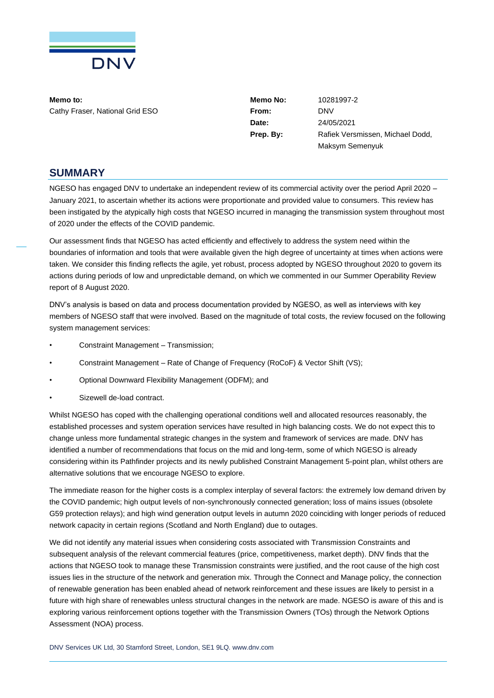

**Memo to: Memo No:** 10281997-2 Cathy Fraser, National Grid ESO **From:** DNV

**Date:** 24/05/2021 **Prep. By:** Rafiek Versmissen, Michael Dodd, Maksym Semenyuk

## **SUMMARY**

NGESO has engaged DNV to undertake an independent review of its commercial activity over the period April 2020 – January 2021, to ascertain whether its actions were proportionate and provided value to consumers. This review has been instigated by the atypically high costs that NGESO incurred in managing the transmission system throughout most of 2020 under the effects of the COVID pandemic.

Our assessment finds that NGESO has acted efficiently and effectively to address the system need within the boundaries of information and tools that were available given the high degree of uncertainty at times when actions were taken. We consider this finding reflects the agile, yet robust, process adopted by NGESO throughout 2020 to govern its actions during periods of low and unpredictable demand, on which we commented in our Summer Operability Review report of 8 August 2020.

DNV's analysis is based on data and process documentation provided by NGESO, as well as interviews with key members of NGESO staff that were involved. Based on the magnitude of total costs, the review focused on the following system management services:

- Constraint Management Transmission;
- Constraint Management Rate of Change of Frequency (RoCoF) & Vector Shift (VS);
- Optional Downward Flexibility Management (ODFM); and
- Sizewell de-load contract.

Whilst NGESO has coped with the challenging operational conditions well and allocated resources reasonably, the established processes and system operation services have resulted in high balancing costs. We do not expect this to change unless more fundamental strategic changes in the system and framework of services are made. DNV has identified a number of recommendations that focus on the mid and long-term, some of which NGESO is already considering within its Pathfinder projects and its newly published Constraint Management 5-point plan, whilst others are alternative solutions that we encourage NGESO to explore.

The immediate reason for the higher costs is a complex interplay of several factors: the extremely low demand driven by the COVID pandemic; high output levels of non-synchronously connected generation; loss of mains issues (obsolete G59 protection relays); and high wind generation output levels in autumn 2020 coinciding with longer periods of reduced network capacity in certain regions (Scotland and North England) due to outages.

We did not identify any material issues when considering costs associated with Transmission Constraints and subsequent analysis of the relevant commercial features (price, competitiveness, market depth). DNV finds that the actions that NGESO took to manage these Transmission constraints were justified, and the root cause of the high cost issues lies in the structure of the network and generation mix. Through the Connect and Manage policy, the connection of renewable generation has been enabled ahead of network reinforcement and these issues are likely to persist in a future with high share of renewables unless structural changes in the network are made. NGESO is aware of this and is exploring various reinforcement options together with the Transmission Owners (TOs) through the Network Options Assessment (NOA) process.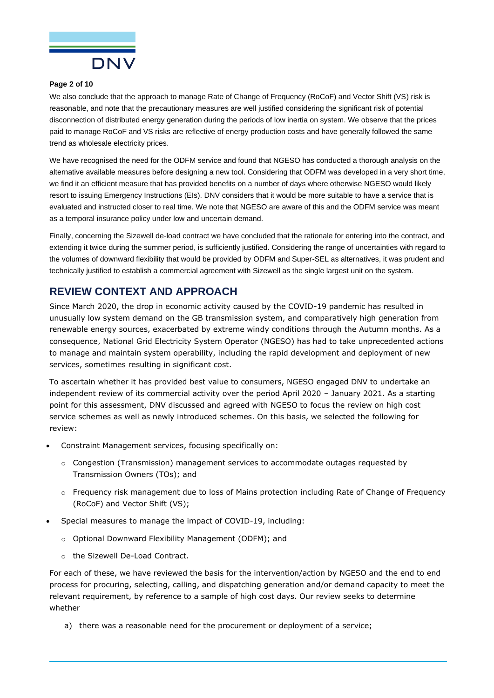

#### **Page 2 of 10**

We also conclude that the approach to manage Rate of Change of Frequency (RoCoF) and Vector Shift (VS) risk is reasonable, and note that the precautionary measures are well justified considering the significant risk of potential disconnection of distributed energy generation during the periods of low inertia on system. We observe that the prices paid to manage RoCoF and VS risks are reflective of energy production costs and have generally followed the same trend as wholesale electricity prices.

We have recognised the need for the ODFM service and found that NGESO has conducted a thorough analysis on the alternative available measures before designing a new tool. Considering that ODFM was developed in a very short time, we find it an efficient measure that has provided benefits on a number of days where otherwise NGESO would likely resort to issuing Emergency Instructions (EIs). DNV considers that it would be more suitable to have a service that is evaluated and instructed closer to real time. We note that NGESO are aware of this and the ODFM service was meant as a temporal insurance policy under low and uncertain demand.

Finally, concerning the Sizewell de-load contract we have concluded that the rationale for entering into the contract, and extending it twice during the summer period, is sufficiently justified. Considering the range of uncertainties with regard to the volumes of downward flexibility that would be provided by ODFM and Super-SEL as alternatives, it was prudent and technically justified to establish a commercial agreement with Sizewell as the single largest unit on the system.

# **REVIEW CONTEXT AND APPROACH**

Since March 2020, the drop in economic activity caused by the COVID-19 pandemic has resulted in unusually low system demand on the GB transmission system, and comparatively high generation from renewable energy sources, exacerbated by extreme windy conditions through the Autumn months. As a consequence, National Grid Electricity System Operator (NGESO) has had to take unprecedented actions to manage and maintain system operability, including the rapid development and deployment of new services, sometimes resulting in significant cost.

To ascertain whether it has provided best value to consumers, NGESO engaged DNV to undertake an independent review of its commercial activity over the period April 2020 – January 2021. As a starting point for this assessment, DNV discussed and agreed with NGESO to focus the review on high cost service schemes as well as newly introduced schemes. On this basis, we selected the following for review:

- Constraint Management services, focusing specifically on:
	- $\circ$  Congestion (Transmission) management services to accommodate outages requested by Transmission Owners (TOs); and
	- o Frequency risk management due to loss of Mains protection including Rate of Change of Frequency (RoCoF) and Vector Shift (VS);
- Special measures to manage the impact of COVID-19, including:
	- o Optional Downward Flexibility Management (ODFM); and
	- o the Sizewell De-Load Contract.

For each of these, we have reviewed the basis for the intervention/action by NGESO and the end to end process for procuring, selecting, calling, and dispatching generation and/or demand capacity to meet the relevant requirement, by reference to a sample of high cost days. Our review seeks to determine whether

a) there was a reasonable need for the procurement or deployment of a service;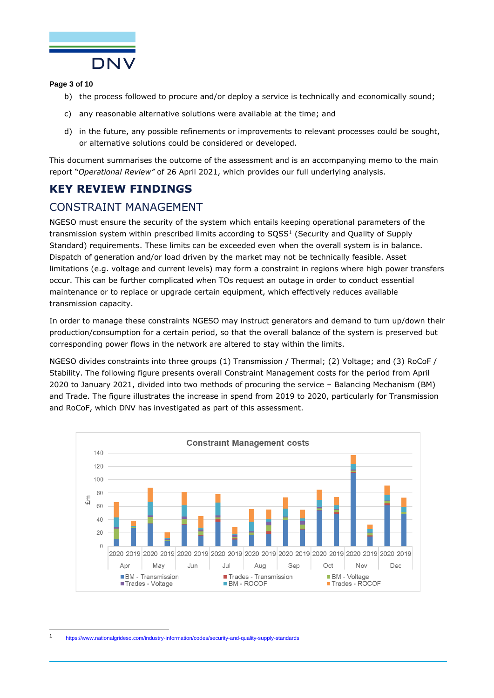

### **Page 3 of 10**

- b) the process followed to procure and/or deploy a service is technically and economically sound;
- c) any reasonable alternative solutions were available at the time; and
- d) in the future, any possible refinements or improvements to relevant processes could be sought, or alternative solutions could be considered or developed.

This document summarises the outcome of the assessment and is an accompanying memo to the main report "*Operational Review"* of 26 April 2021, which provides our full underlying analysis.

# **KEY REVIEW FINDINGS**

# CONSTRAINT MANAGEMENT

NGESO must ensure the security of the system which entails keeping operational parameters of the transmission system within prescribed limits according to SQSS<sup>1</sup> (Security and Quality of Supply Standard) requirements. These limits can be exceeded even when the overall system is in balance. Dispatch of generation and/or load driven by the market may not be technically feasible. Asset limitations (e.g. voltage and current levels) may form a constraint in regions where high power transfers occur. This can be further complicated when TOs request an outage in order to conduct essential maintenance or to replace or upgrade certain equipment, which effectively reduces available transmission capacity.

In order to manage these constraints NGESO may instruct generators and demand to turn up/down their production/consumption for a certain period, so that the overall balance of the system is preserved but corresponding power flows in the network are altered to stay within the limits.

NGESO divides constraints into three groups (1) Transmission / Thermal; (2) Voltage; and (3) RoCoF / Stability. The following figure presents overall Constraint Management costs for the period from April 2020 to January 2021, divided into two methods of procuring the service – Balancing Mechanism (BM) and Trade. The figure illustrates the increase in spend from 2019 to 2020, particularly for Transmission and RoCoF, which DNV has investigated as part of this assessment.



1 <https://www.nationalgrideso.com/industry-information/codes/security-and-quality-supply-standards>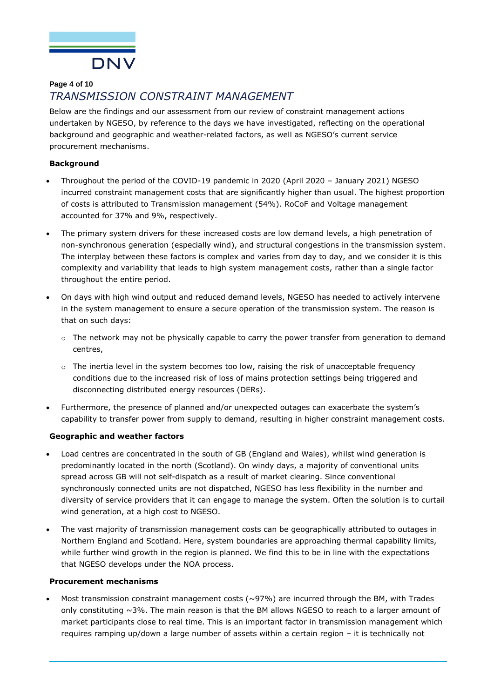

## **Page 4 of 10** *TRANSMISSION CONSTRAINT MANAGEMENT*

Below are the findings and our assessment from our review of constraint management actions undertaken by NGESO, by reference to the days we have investigated, reflecting on the operational background and geographic and weather-related factors, as well as NGESO's current service procurement mechanisms.

### **Background**

- Throughout the period of the COVID-19 pandemic in 2020 (April 2020 January 2021) NGESO incurred constraint management costs that are significantly higher than usual. The highest proportion of costs is attributed to Transmission management (54%). RoCoF and Voltage management accounted for 37% and 9%, respectively.
- The primary system drivers for these increased costs are low demand levels, a high penetration of non-synchronous generation (especially wind), and structural congestions in the transmission system. The interplay between these factors is complex and varies from day to day, and we consider it is this complexity and variability that leads to high system management costs, rather than a single factor throughout the entire period.
- On days with high wind output and reduced demand levels, NGESO has needed to actively intervene in the system management to ensure a secure operation of the transmission system. The reason is that on such days:
	- $\circ$  The network may not be physically capable to carry the power transfer from generation to demand centres,
	- $\circ$  The inertia level in the system becomes too low, raising the risk of unacceptable frequency conditions due to the increased risk of loss of mains protection settings being triggered and disconnecting distributed energy resources (DERs).
- Furthermore, the presence of planned and/or unexpected outages can exacerbate the system's capability to transfer power from supply to demand, resulting in higher constraint management costs.

### **Geographic and weather factors**

- Load centres are concentrated in the south of GB (England and Wales), whilst wind generation is predominantly located in the north (Scotland). On windy days, a majority of conventional units spread across GB will not self-dispatch as a result of market clearing. Since conventional synchronously connected units are not dispatched, NGESO has less flexibility in the number and diversity of service providers that it can engage to manage the system. Often the solution is to curtail wind generation, at a high cost to NGESO.
- The vast majority of transmission management costs can be geographically attributed to outages in Northern England and Scotland. Here, system boundaries are approaching thermal capability limits, while further wind growth in the region is planned. We find this to be in line with the expectations that NGESO develops under the NOA process.

#### **Procurement mechanisms**

Most transmission constraint management costs ( $\sim$ 97%) are incurred through the BM, with Trades only constituting  $\sim$ 3%. The main reason is that the BM allows NGESO to reach to a larger amount of market participants close to real time. This is an important factor in transmission management which requires ramping up/down a large number of assets within a certain region – it is technically not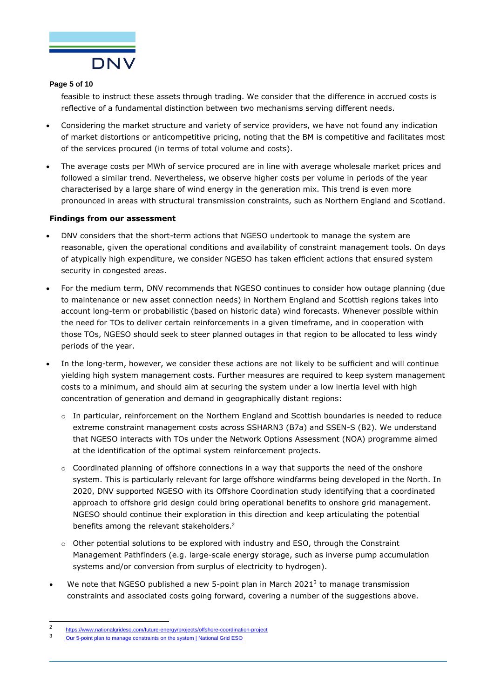

#### **Page 5 of 10**

feasible to instruct these assets through trading. We consider that the difference in accrued costs is reflective of a fundamental distinction between two mechanisms serving different needs.

- Considering the market structure and variety of service providers, we have not found any indication of market distortions or anticompetitive pricing, noting that the BM is competitive and facilitates most of the services procured (in terms of total volume and costs).
- The average costs per MWh of service procured are in line with average wholesale market prices and followed a similar trend. Nevertheless, we observe higher costs per volume in periods of the year characterised by a large share of wind energy in the generation mix. This trend is even more pronounced in areas with structural transmission constraints, such as Northern England and Scotland.

#### **Findings from our assessment**

- DNV considers that the short-term actions that NGESO undertook to manage the system are reasonable, given the operational conditions and availability of constraint management tools. On days of atypically high expenditure, we consider NGESO has taken efficient actions that ensured system security in congested areas.
- For the medium term, DNV recommends that NGESO continues to consider how outage planning (due to maintenance or new asset connection needs) in Northern England and Scottish regions takes into account long-term or probabilistic (based on historic data) wind forecasts. Whenever possible within the need for TOs to deliver certain reinforcements in a given timeframe, and in cooperation with those TOs, NGESO should seek to steer planned outages in that region to be allocated to less windy periods of the year.
- In the long-term, however, we consider these actions are not likely to be sufficient and will continue yielding high system management costs. Further measures are required to keep system management costs to a minimum, and should aim at securing the system under a low inertia level with high concentration of generation and demand in geographically distant regions:
	- $\circ$  In particular, reinforcement on the Northern England and Scottish boundaries is needed to reduce extreme constraint management costs across SSHARN3 (B7a) and SSEN-S (B2). We understand that NGESO interacts with TOs under the Network Options Assessment (NOA) programme aimed at the identification of the optimal system reinforcement projects.
	- $\circ$  Coordinated planning of offshore connections in a way that supports the need of the onshore system. This is particularly relevant for large offshore windfarms being developed in the North. In 2020, DNV supported NGESO with its Offshore Coordination study identifying that a coordinated approach to offshore grid design could bring operational benefits to onshore grid management. NGESO should continue their exploration in this direction and keep articulating the potential benefits among the relevant stakeholders.<sup>2</sup>
	- $\circ$  Other potential solutions to be explored with industry and ESO, through the Constraint Management Pathfinders (e.g. large-scale energy storage, such as inverse pump accumulation systems and/or conversion from surplus of electricity to hydrogen).
- We note that NGESO published a new 5-point plan in March 2021<sup>3</sup> to manage transmission constraints and associated costs going forward, covering a number of the suggestions above.

 $\overline{2}$ <https://www.nationalgrideso.com/future-energy/projects/offshore-coordination-project>

<sup>3</sup> [Our 5-point plan to manage constraints on the system | National Grid ESO](https://www.nationalgrideso.com/news/our-5-point-plan-manage-constraints-system)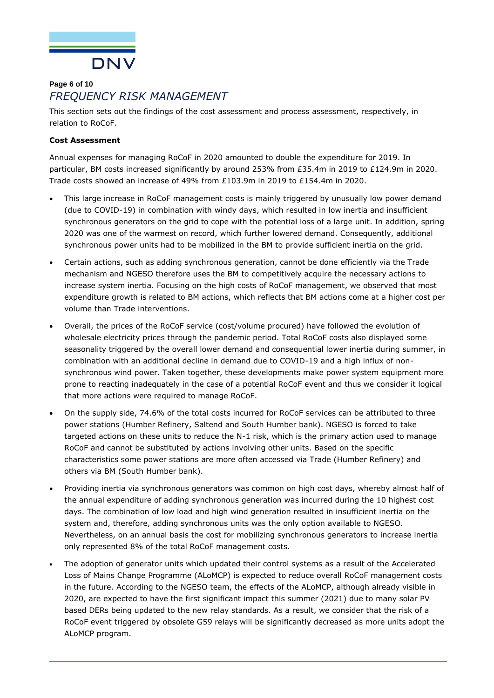

# **Page 6 of 10** *FREQUENCY RISK MANAGEMENT*

This section sets out the findings of the cost assessment and process assessment, respectively, in relation to RoCoF.

## **Cost Assessment**

Annual expenses for managing RoCoF in 2020 amounted to double the expenditure for 2019. In particular, BM costs increased significantly by around 253% from £35.4m in 2019 to £124.9m in 2020. Trade costs showed an increase of 49% from £103.9m in 2019 to £154.4m in 2020.

- This large increase in RoCoF management costs is mainly triggered by unusually low power demand (due to COVID-19) in combination with windy days, which resulted in low inertia and insufficient synchronous generators on the grid to cope with the potential loss of a large unit. In addition, spring 2020 was one of the warmest on record, which further lowered demand. Consequently, additional synchronous power units had to be mobilized in the BM to provide sufficient inertia on the grid.
- Certain actions, such as adding synchronous generation, cannot be done efficiently via the Trade mechanism and NGESO therefore uses the BM to competitively acquire the necessary actions to increase system inertia. Focusing on the high costs of RoCoF management, we observed that most expenditure growth is related to BM actions, which reflects that BM actions come at a higher cost per volume than Trade interventions.
- Overall, the prices of the RoCoF service (cost/volume procured) have followed the evolution of wholesale electricity prices through the pandemic period. Total RoCoF costs also displayed some seasonality triggered by the overall lower demand and consequential lower inertia during summer, in combination with an additional decline in demand due to COVID-19 and a high influx of nonsynchronous wind power. Taken together, these developments make power system equipment more prone to reacting inadequately in the case of a potential RoCoF event and thus we consider it logical that more actions were required to manage RoCoF.
- On the supply side, 74.6% of the total costs incurred for RoCoF services can be attributed to three power stations (Humber Refinery, Saltend and South Humber bank). NGESO is forced to take targeted actions on these units to reduce the N-1 risk, which is the primary action used to manage RoCoF and cannot be substituted by actions involving other units. Based on the specific characteristics some power stations are more often accessed via Trade (Humber Refinery) and others via BM (South Humber bank).
- Providing inertia via synchronous generators was common on high cost days, whereby almost half of the annual expenditure of adding synchronous generation was incurred during the 10 highest cost days. The combination of low load and high wind generation resulted in insufficient inertia on the system and, therefore, adding synchronous units was the only option available to NGESO. Nevertheless, on an annual basis the cost for mobilizing synchronous generators to increase inertia only represented 8% of the total RoCoF management costs.
- The adoption of generator units which updated their control systems as a result of the Accelerated Loss of Mains Change Programme (ALoMCP) is expected to reduce overall RoCoF management costs in the future. According to the NGESO team, the effects of the ALoMCP, although already visible in 2020, are expected to have the first significant impact this summer (2021) due to many solar PV based DERs being updated to the new relay standards. As a result, we consider that the risk of a RoCoF event triggered by obsolete G59 relays will be significantly decreased as more units adopt the ALoMCP program.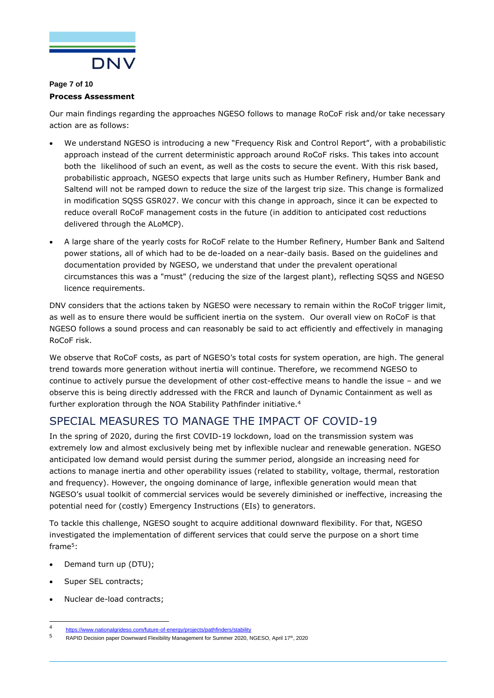

### **Page 7 of 10 Process Assessment**

Our main findings regarding the approaches NGESO follows to manage RoCoF risk and/or take necessary action are as follows:

- We understand NGESO is introducing a new "Frequency Risk and Control Report", with a probabilistic approach instead of the current deterministic approach around RoCoF risks. This takes into account both the likelihood of such an event, as well as the costs to secure the event. With this risk based, probabilistic approach, NGESO expects that large units such as Humber Refinery, Humber Bank and Saltend will not be ramped down to reduce the size of the largest trip size. This change is formalized in modification SQSS GSR027. We concur with this change in approach, since it can be expected to reduce overall RoCoF management costs in the future (in addition to anticipated cost reductions delivered through the ALoMCP).
- A large share of the yearly costs for RoCoF relate to the Humber Refinery, Humber Bank and Saltend power stations, all of which had to be de-loaded on a near-daily basis. Based on the guidelines and documentation provided by NGESO, we understand that under the prevalent operational circumstances this was a "must" (reducing the size of the largest plant), reflecting SQSS and NGESO licence requirements.

DNV considers that the actions taken by NGESO were necessary to remain within the RoCoF trigger limit, as well as to ensure there would be sufficient inertia on the system. Our overall view on RoCoF is that NGESO follows a sound process and can reasonably be said to act efficiently and effectively in managing RoCoF risk.

We observe that RoCoF costs, as part of NGESO's total costs for system operation, are high. The general trend towards more generation without inertia will continue. Therefore, we recommend NGESO to continue to actively pursue the development of other cost-effective means to handle the issue – and we observe this is being directly addressed with the FRCR and launch of Dynamic Containment as well as further exploration through the NOA Stability Pathfinder initiative.<sup>4</sup>

# SPECIAL MEASURES TO MANAGE THE IMPACT OF COVID-19

In the spring of 2020, during the first COVID-19 lockdown, load on the transmission system was extremely low and almost exclusively being met by inflexible nuclear and renewable generation. NGESO anticipated low demand would persist during the summer period, alongside an increasing need for actions to manage inertia and other operability issues (related to stability, voltage, thermal, restoration and frequency). However, the ongoing dominance of large, inflexible generation would mean that NGESO's usual toolkit of commercial services would be severely diminished or ineffective, increasing the potential need for (costly) Emergency Instructions (EIs) to generators.

To tackle this challenge, NGESO sought to acquire additional downward flexibility. For that, NGESO investigated the implementation of different services that could serve the purpose on a short time frame<sup>5</sup>:

- Demand turn up (DTU);
- Super SEL contracts;
- Nuclear de-load contracts;

<sup>4</sup> <https://www.nationalgrideso.com/future-of-energy/projects/pathfinders/stability>

<sup>5</sup> RAPID Decision paper Downward Flexibility Management for Summer 2020, NGESO, April 17<sup>th</sup>, 2020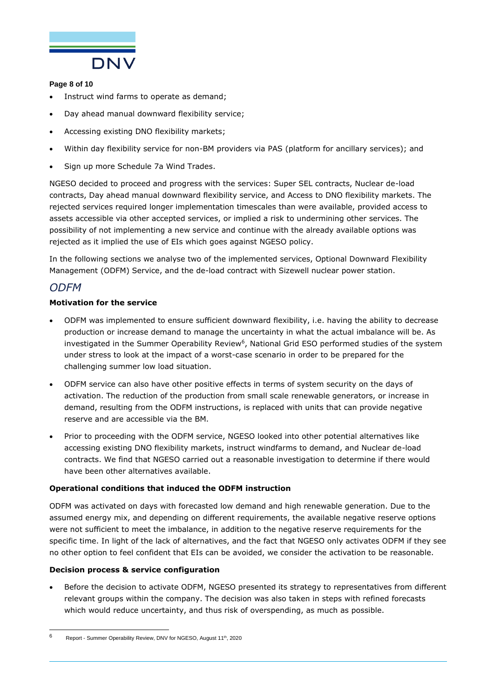

## **Page 8 of 10**

- Instruct wind farms to operate as demand;
- Day ahead manual downward flexibility service;
- Accessing existing DNO flexibility markets;
- Within day flexibility service for non-BM providers via PAS (platform for ancillary services); and
- Sign up more Schedule 7a Wind Trades.

NGESO decided to proceed and progress with the services: Super SEL contracts, Nuclear de-load contracts, Day ahead manual downward flexibility service, and Access to DNO flexibility markets. The rejected services required longer implementation timescales than were available, provided access to assets accessible via other accepted services, or implied a risk to undermining other services. The possibility of not implementing a new service and continue with the already available options was rejected as it implied the use of EIs which goes against NGESO policy.

In the following sections we analyse two of the implemented services, Optional Downward Flexibility Management (ODFM) Service, and the de-load contract with Sizewell nuclear power station.

# *ODFM*

## **Motivation for the service**

- ODFM was implemented to ensure sufficient downward flexibility, i.e. having the ability to decrease production or increase demand to manage the uncertainty in what the actual imbalance will be. As investigated in the Summer Operability Review<sup>6</sup>, National Grid ESO performed studies of the system under stress to look at the impact of a worst-case scenario in order to be prepared for the challenging summer low load situation.
- ODFM service can also have other positive effects in terms of system security on the days of activation. The reduction of the production from small scale renewable generators, or increase in demand, resulting from the ODFM instructions, is replaced with units that can provide negative reserve and are accessible via the BM.
- Prior to proceeding with the ODFM service, NGESO looked into other potential alternatives like accessing existing DNO flexibility markets, instruct windfarms to demand, and Nuclear de-load contracts. We find that NGESO carried out a reasonable investigation to determine if there would have been other alternatives available.

### **Operational conditions that induced the ODFM instruction**

ODFM was activated on days with forecasted low demand and high renewable generation. Due to the assumed energy mix, and depending on different requirements, the available negative reserve options were not sufficient to meet the imbalance, in addition to the negative reserve requirements for the specific time. In light of the lack of alternatives, and the fact that NGESO only activates ODFM if they see no other option to feel confident that EIs can be avoided, we consider the activation to be reasonable.

### **Decision process & service configuration**

• Before the decision to activate ODFM, NGESO presented its strategy to representatives from different relevant groups within the company. The decision was also taken in steps with refined forecasts which would reduce uncertainty, and thus risk of overspending, as much as possible.

 $6$  Report - Summer Operability Review, DNV for NGESO, August 11<sup>th</sup>, 2020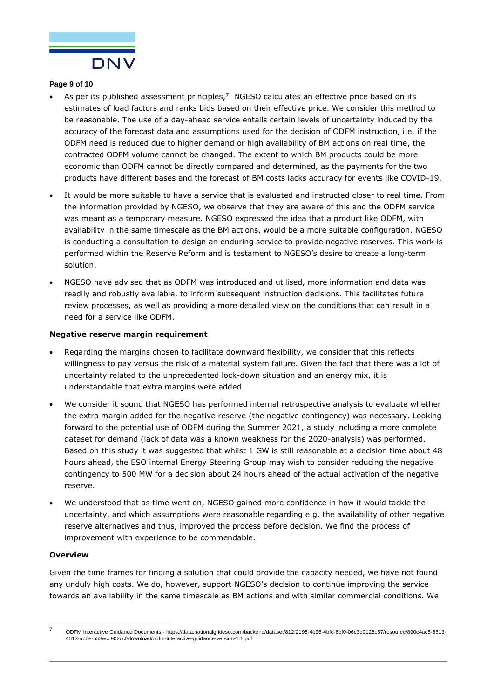

#### **Page 9 of 10**

- As per its published assessment principles, $<sup>7</sup>$  NGESO calculates an effective price based on its</sup> estimates of load factors and ranks bids based on their effective price. We consider this method to be reasonable. The use of a day-ahead service entails certain levels of uncertainty induced by the accuracy of the forecast data and assumptions used for the decision of ODFM instruction, i.e. if the ODFM need is reduced due to higher demand or high availability of BM actions on real time, the contracted ODFM volume cannot be changed. The extent to which BM products could be more economic than ODFM cannot be directly compared and determined, as the payments for the two products have different bases and the forecast of BM costs lacks accuracy for events like COVID-19.
- It would be more suitable to have a service that is evaluated and instructed closer to real time. From the information provided by NGESO, we observe that they are aware of this and the ODFM service was meant as a temporary measure. NGESO expressed the idea that a product like ODFM, with availability in the same timescale as the BM actions, would be a more suitable configuration. NGESO is conducting a consultation to design an enduring service to provide negative reserves. This work is performed within the Reserve Reform and is testament to NGESO's desire to create a long-term solution.
- NGESO have advised that as ODFM was introduced and utilised, more information and data was readily and robustly available, to inform subsequent instruction decisions. This facilitates future review processes, as well as providing a more detailed view on the conditions that can result in a need for a service like ODFM.

#### **Negative reserve margin requirement**

- Regarding the margins chosen to facilitate downward flexibility, we consider that this reflects willingness to pay versus the risk of a material system failure. Given the fact that there was a lot of uncertainty related to the unprecedented lock-down situation and an energy mix, it is understandable that extra margins were added.
- We consider it sound that NGESO has performed internal retrospective analysis to evaluate whether the extra margin added for the negative reserve (the negative contingency) was necessary. Looking forward to the potential use of ODFM during the Summer 2021, a study including a more complete dataset for demand (lack of data was a known weakness for the 2020-analysis) was performed. Based on this study it was suggested that whilst 1 GW is still reasonable at a decision time about 48 hours ahead, the ESO internal Energy Steering Group may wish to consider reducing the negative contingency to 500 MW for a decision about 24 hours ahead of the actual activation of the negative reserve.
- We understood that as time went on, NGESO gained more confidence in how it would tackle the uncertainty, and which assumptions were reasonable regarding e.g. the availability of other negative reserve alternatives and thus, improved the process before decision. We find the process of improvement with experience to be commendable.

#### **Overview**

Given the time frames for finding a solution that could provide the capacity needed, we have not found any unduly high costs. We do, however, support NGESO's decision to continue improving the service towards an availability in the same timescale as BM actions and with similar commercial conditions. We

<sup>7</sup> ODFM Interactive Guidance Documents - https://data.nationalgrideso.com/backend/dataset/812f2195-4e96-4bfd-8bf0-06c3d0126c57/resource/890c4ac5-5513- 4513-a7be-553ecc902ccf/download/odfm-interactive-guidance-version-1.1.pdf